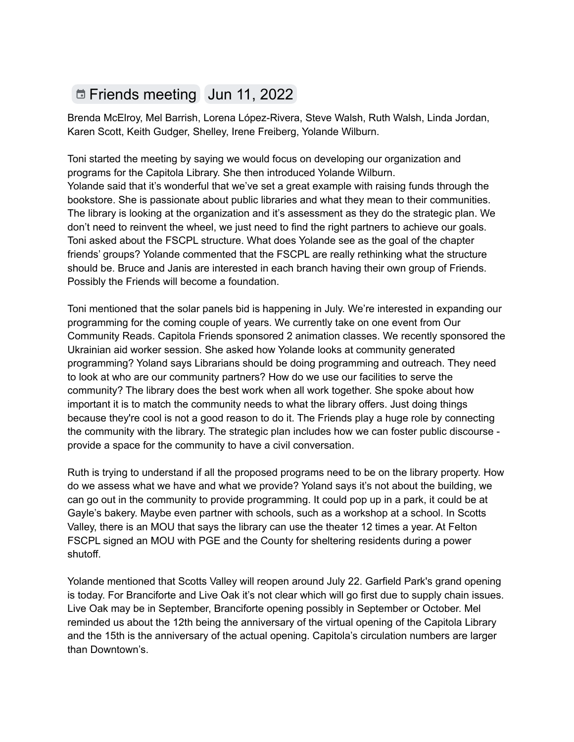## Friends [meeting](https://www.google.com/calendar/event?eid=NmhqM2ljMWc2bGlqaWI5bDc0c2o0YjlrNjBxNjZiYjI2Y3E2MmI5bDZkaDZjcDlrY3BoamdjaGdjOCBrYXJlbkBzcGxvaWRzLmNvbQ) Jun 11, 2022

Brenda McElroy, Mel Barrish, Lorena López-Rivera, Steve Walsh, Ruth Walsh, Linda Jordan, Karen Scott, Keith Gudger, Shelley, Irene Freiberg, Yolande Wilburn.

Toni started the meeting by saying we would focus on developing our organization and programs for the Capitola Library. She then introduced Yolande Wilburn. Yolande said that it's wonderful that we've set a great example with raising funds through the bookstore. She is passionate about public libraries and what they mean to their communities. The library is looking at the organization and it's assessment as they do the strategic plan. We don't need to reinvent the wheel, we just need to find the right partners to achieve our goals. Toni asked about the FSCPL structure. What does Yolande see as the goal of the chapter friends' groups? Yolande commented that the FSCPL are really rethinking what the structure should be. Bruce and Janis are interested in each branch having their own group of Friends. Possibly the Friends will become a foundation.

Toni mentioned that the solar panels bid is happening in July. We're interested in expanding our programming for the coming couple of years. We currently take on one event from Our Community Reads. Capitola Friends sponsored 2 animation classes. We recently sponsored the Ukrainian aid worker session. She asked how Yolande looks at community generated programming? Yoland says Librarians should be doing programming and outreach. They need to look at who are our community partners? How do we use our facilities to serve the community? The library does the best work when all work together. She spoke about how important it is to match the community needs to what the library offers. Just doing things because they're cool is not a good reason to do it. The Friends play a huge role by connecting the community with the library. The strategic plan includes how we can foster public discourse provide a space for the community to have a civil conversation.

Ruth is trying to understand if all the proposed programs need to be on the library property. How do we assess what we have and what we provide? Yoland says it's not about the building, we can go out in the community to provide programming. It could pop up in a park, it could be at Gayle's bakery. Maybe even partner with schools, such as a workshop at a school. In Scotts Valley, there is an MOU that says the library can use the theater 12 times a year. At Felton FSCPL signed an MOU with PGE and the County for sheltering residents during a power shutoff.

Yolande mentioned that Scotts Valley will reopen around July 22. Garfield Park's grand opening is today. For Branciforte and Live Oak it's not clear which will go first due to supply chain issues. Live Oak may be in September, Branciforte opening possibly in September or October. Mel reminded us about the 12th being the anniversary of the virtual opening of the Capitola Library and the 15th is the anniversary of the actual opening. Capitola's circulation numbers are larger than Downtown's.